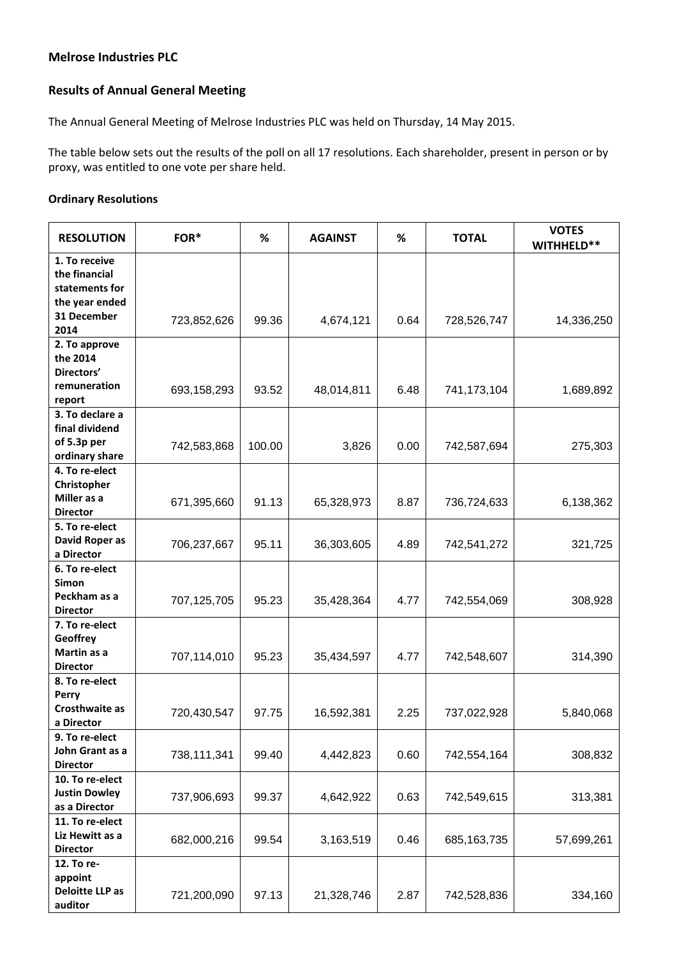## **Melrose Industries PLC**

## **Results of Annual General Meeting**

The Annual General Meeting of Melrose Industries PLC was held on Thursday, 14 May 2015.

The table below sets out the results of the poll on all 17 resolutions. Each shareholder, present in person or by proxy, was entitled to one vote per share held.

## **Ordinary Resolutions**

| <b>RESOLUTION</b>                                                                         | FOR*        | %      | <b>AGAINST</b> | %    | <b>TOTAL</b>  | <b>VOTES</b><br>WITHHELD** |
|-------------------------------------------------------------------------------------------|-------------|--------|----------------|------|---------------|----------------------------|
| 1. To receive<br>the financial<br>statements for<br>the year ended<br>31 December<br>2014 | 723,852,626 | 99.36  | 4,674,121      | 0.64 | 728,526,747   | 14,336,250                 |
| 2. To approve<br>the 2014<br>Directors'<br>remuneration                                   | 693,158,293 | 93.52  | 48,014,811     | 6.48 | 741,173,104   | 1,689,892                  |
| report<br>3. To declare a<br>final dividend<br>of 5.3p per<br>ordinary share              | 742,583,868 | 100.00 | 3,826          | 0.00 | 742,587,694   | 275,303                    |
| 4. To re-elect<br>Christopher<br>Miller as a<br><b>Director</b>                           | 671,395,660 | 91.13  | 65,328,973     | 8.87 | 736,724,633   | 6,138,362                  |
| 5. To re-elect<br>David Roper as<br>a Director                                            | 706,237,667 | 95.11  | 36,303,605     | 4.89 | 742,541,272   | 321,725                    |
| 6. To re-elect<br><b>Simon</b><br>Peckham as a<br><b>Director</b>                         | 707,125,705 | 95.23  | 35,428,364     | 4.77 | 742,554,069   | 308,928                    |
| 7. To re-elect<br>Geoffrey<br>Martin as a<br><b>Director</b>                              | 707,114,010 | 95.23  | 35,434,597     | 4.77 | 742,548,607   | 314,390                    |
| 8. To re-elect<br>Perry<br>Crosthwaite as<br>a Director                                   | 720,430,547 | 97.75  | 16,592,381     | 2.25 | 737,022,928   | 5,840,068                  |
| 9. To re-elect<br>John Grant as a<br><b>Director</b>                                      | 738,111,341 | 99.40  | 4,442,823      | 0.60 | 742,554,164   | 308,832                    |
| 10. To re-elect<br><b>Justin Dowley</b><br>as a Director                                  | 737,906,693 | 99.37  | 4,642,922      | 0.63 | 742,549,615   | 313,381                    |
| 11. To re-elect<br>Liz Hewitt as a<br><b>Director</b>                                     | 682,000,216 | 99.54  | 3,163,519      | 0.46 | 685, 163, 735 | 57,699,261                 |
| 12. To re-<br>appoint<br><b>Deloitte LLP as</b><br>auditor                                | 721,200,090 | 97.13  | 21,328,746     | 2.87 | 742,528,836   | 334,160                    |